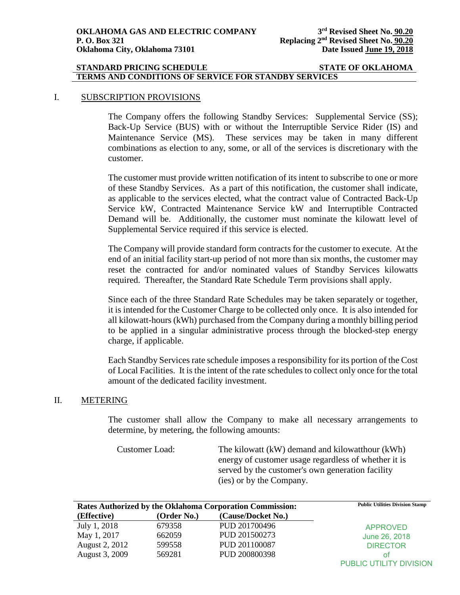### **STANDARD PRICING SCHEDULE STATE OF OKLAHOMA TERMS AND CONDITIONS OF SERVICE FOR STANDBY SERVICES**

### I. SUBSCRIPTION PROVISIONS

The Company offers the following Standby Services: Supplemental Service (SS); Back-Up Service (BUS) with or without the Interruptible Service Rider (IS) and Maintenance Service (MS). These services may be taken in many different combinations as election to any, some, or all of the services is discretionary with the customer.

The customer must provide written notification of its intent to subscribe to one or more of these Standby Services. As a part of this notification, the customer shall indicate, as applicable to the services elected, what the contract value of Contracted Back-Up Service kW, Contracted Maintenance Service kW and Interruptible Contracted Demand will be. Additionally, the customer must nominate the kilowatt level of Supplemental Service required if this service is elected.

The Company will provide standard form contracts for the customer to execute. At the end of an initial facility start-up period of not more than six months, the customer may reset the contracted for and/or nominated values of Standby Services kilowatts required. Thereafter, the Standard Rate Schedule Term provisions shall apply.

Since each of the three Standard Rate Schedules may be taken separately or together, it is intended for the Customer Charge to be collected only once. It is also intended for all kilowatt-hours (kWh) purchased from the Company during a monthly billing period to be applied in a singular administrative process through the blocked-step energy charge, if applicable.

Each Standby Services rate schedule imposes a responsibility for its portion of the Cost of Local Facilities. It is the intent of the rate schedules to collect only once for the total amount of the dedicated facility investment.

#### II. METERING

The customer shall allow the Company to make all necessary arrangements to determine, by metering, the following amounts:

Customer Load: The kilowatt (kW) demand and kilowatthour (kWh) energy of customer usage regardless of whether it is served by the customer's own generation facility (ies) or by the Company.

|                | <b>Rates Authorized by the Oklahoma Corporation Commission:</b> | <b>Public Utilities Division Stamp</b> |                         |
|----------------|-----------------------------------------------------------------|----------------------------------------|-------------------------|
| (Effective)    | (Order No.)                                                     | (Cause/Docket No.)                     |                         |
| July 1, 2018   | 679358                                                          | PUD 201700496                          | <b>APPROVED</b>         |
| May 1, 2017    | 662059                                                          | PUD 201500273                          | June 26, 2018           |
| August 2, 2012 | 599558                                                          | PUD 201100087                          | <b>DIRECTOR</b>         |
| August 3, 2009 | 569281                                                          | PUD 200800398                          | ΟŤ                      |
|                |                                                                 |                                        | PUBLIC UTILITY DIVISION |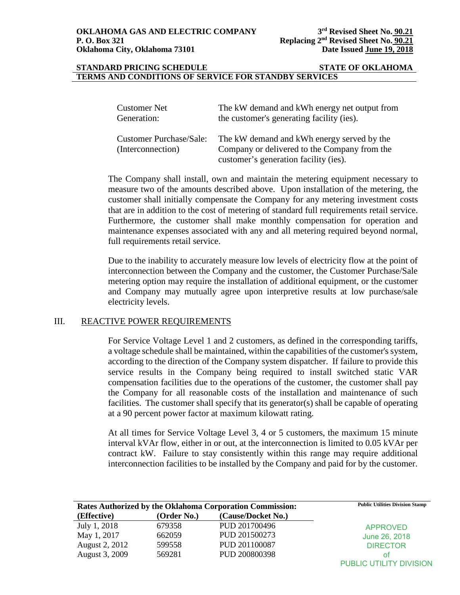#### **STANDARD PRICING SCHEDULE STATE OF OKLAHOMA TERMS AND CONDITIONS OF SERVICE FOR STANDBY SERVICES**

| <b>Customer Net</b>                                 | The kW demand and kWh energy net output from                                               |
|-----------------------------------------------------|--------------------------------------------------------------------------------------------|
| Generation:                                         | the customer's generating facility (ies).                                                  |
| <b>Customer Purchase/Sale:</b><br>(Interconnection) | The kW demand and kWh energy served by the<br>Company or delivered to the Company from the |
|                                                     | customer's generation facility (ies).                                                      |

The Company shall install, own and maintain the metering equipment necessary to measure two of the amounts described above. Upon installation of the metering, the customer shall initially compensate the Company for any metering investment costs that are in addition to the cost of metering of standard full requirements retail service. Furthermore, the customer shall make monthly compensation for operation and maintenance expenses associated with any and all metering required beyond normal, full requirements retail service.

Due to the inability to accurately measure low levels of electricity flow at the point of interconnection between the Company and the customer, the Customer Purchase/Sale metering option may require the installation of additional equipment, or the customer and Company may mutually agree upon interpretive results at low purchase/sale electricity levels.

### III. REACTIVE POWER REQUIREMENTS

For Service Voltage Level 1 and 2 customers, as defined in the corresponding tariffs, a voltage schedule shall be maintained, within the capabilities of the customer's system, according to the direction of the Company system dispatcher. If failure to provide this service results in the Company being required to install switched static VAR compensation facilities due to the operations of the customer, the customer shall pay the Company for all reasonable costs of the installation and maintenance of such facilities. The customer shall specify that its generator(s) shall be capable of operating at a 90 percent power factor at maximum kilowatt rating.

At all times for Service Voltage Level 3, 4 or 5 customers, the maximum 15 minute interval kVAr flow, either in or out, at the interconnection is limited to 0.05 kVAr per contract kW. Failure to stay consistently within this range may require additional interconnection facilities to be installed by the Company and paid for by the customer.

| <b>Rates Authorized by the Oklahoma Corporation Commission:</b> | <b>Public Utilities Division Stamp</b> |                    |                         |
|-----------------------------------------------------------------|----------------------------------------|--------------------|-------------------------|
| (Effective)                                                     | (Order No.)                            | (Cause/Docket No.) |                         |
| July 1, 2018                                                    | 679358                                 | PUD 201700496      | <b>APPROVED</b>         |
| May 1, 2017                                                     | 662059                                 | PUD 201500273      | June 26, 2018           |
| August 2, 2012                                                  | 599558                                 | PUD 201100087      | <b>DIRECTOR</b>         |
| August 3, 2009                                                  | 569281                                 | PUD 200800398      | οt                      |
|                                                                 |                                        |                    | PUBLIC UTILITY DIVISION |